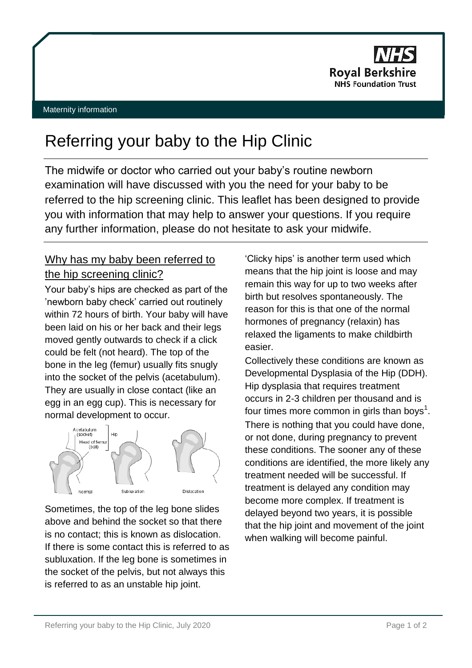

# Referring your baby to the Hip Clinic

The midwife or doctor who carried out your baby's routine newborn examination will have discussed with you the need for your baby to be referred to the hip screening clinic. This leaflet has been designed to provide you with information that may help to answer your questions. If you require any further information, please do not hesitate to ask your midwife.

## Why has my baby been referred to the hip screening clinic?

Your baby's hips are checked as part of the 'newborn baby check' carried out routinely within 72 hours of birth. Your baby will have been laid on his or her back and their legs moved gently outwards to check if a click could be felt (not heard). The top of the bone in the leg (femur) usually fits snugly into the socket of the pelvis (acetabulum). They are usually in close contact (like an egg in an egg cup). This is necessary for normal development to occur.



Sometimes, the top of the leg bone slides above and behind the socket so that there is no contact; this is known as dislocation. If there is some contact this is referred to as subluxation. If the leg bone is sometimes in the socket of the pelvis, but not always this is referred to as an unstable hip joint.

'Clicky hips' is another term used which means that the hip joint is loose and may remain this way for up to two weeks after birth but resolves spontaneously. The reason for this is that one of the normal hormones of pregnancy (relaxin) has relaxed the ligaments to make childbirth easier.

Collectively these conditions are known as Developmental Dysplasia of the Hip (DDH). Hip dysplasia that requires treatment occurs in 2-3 children per thousand and is four times more common in girls than boys<sup>1</sup>. There is nothing that you could have done, or not done, during pregnancy to prevent these conditions. The sooner any of these conditions are identified, the more likely any treatment needed will be successful. If treatment is delayed any condition may become more complex. If treatment is delayed beyond two years, it is possible that the hip joint and movement of the joint when walking will become painful.